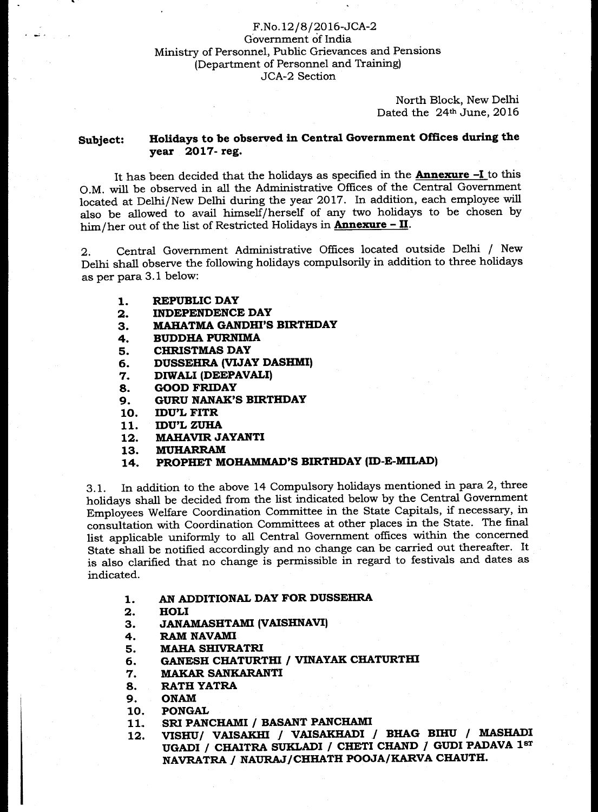### F.No.12/8/2016-JCA-2 Government of India Ministry of Personnel, Public Grievances and Pensions (Department of Personnel and Training) JCA-2 Section

North Block, New Delhi Dated the 24<sup>th</sup> June, 2016

### **Subject: Holidays to be observed in Central Government Offices during the year 2017- reg.**

It has been decided that the holidays as specified in the **Annexure -I** to this O.M. will be observed in all the Administrative Offices of the Central Government located at Delhi/New Delhi during the year 2017. In addition, each employee will also be allowed to avail himself/herself of any two holidays to be chosen by him/her out of the list of Restricted Holidays in **Annexure - II.** 

2. Central Government Administrative Offices located outside Delhi / New Delhi shall observe the following holidays compulsorily in addition to three holidays as per para 3.1 below:

- **1. REPUBLIC DAY**
- **2. INDEPENDENCE DAY**
- **3. MAHATMA GANDHI'S BIRTHDAY**
- **4. BUDDHA PURNIMA**
- **5. CHRISTMAS DAY**
- **6. DUSSEHRA (VIJAY DASHMI)**
- **7. DIWALI (DEEPAVALI)**
- **8. GOOD FRIDAY**
- **9. GURU NANAK'S BIRTHDAY**
- **10. IDU'L FITR**
- **11. IDU'L ZUHA**
- **12. MAHAVIR JAYANTI**
- **13. MUHARR.AM**
- **14. PROPHET MOHAMMAD'S BIRTHDAY (ID-E-MILAD)**

3.1. In addition to the above 14 Compulsory holidays mentioned in para 2, three holidays shall be decided from the list indicated below by the Central Government Employees Welfare Coordination Committee in the State Capitals, if necessary, in consultation with Coordination Committees at other places in the State. The final list applicable uniformly to all Central Government offices within the concerned State shall be notified accordingly and no change can be carried out thereafter. It is also clarified that no change is permissible in regard to festivals and dates as indicated.

- **1. AN ADDITIONAL DAY FOR DUSSEHRA**
- **2. HOLI**
- **3. JANAMASHTAMI (VAISHNAVI)**
- **4. RAM NAVAMI**
- **5. MAHA SHIVRATRI**
- **6. GANESH CHATURTHI / VINAYAK CHATURTHI**
- **7. MAKAR SANKARANTI**
- **8. RATH YATRA**
- **9. ONAM**
- **10. PONGAL**
- **11. SRI PANCHAMI / BASANT PANCHAMI**
- **12. VISHU/ VAISAKHI I VAISAKHADI / BHAG BIHU / MASHADI**  UGADI / CHAITRA SUKLADI / CHETI CHAND / GUDI PADAVA 1sr NAVRATRA / NAURAJ/CHHATH POOJA/KARVA CHAUTH.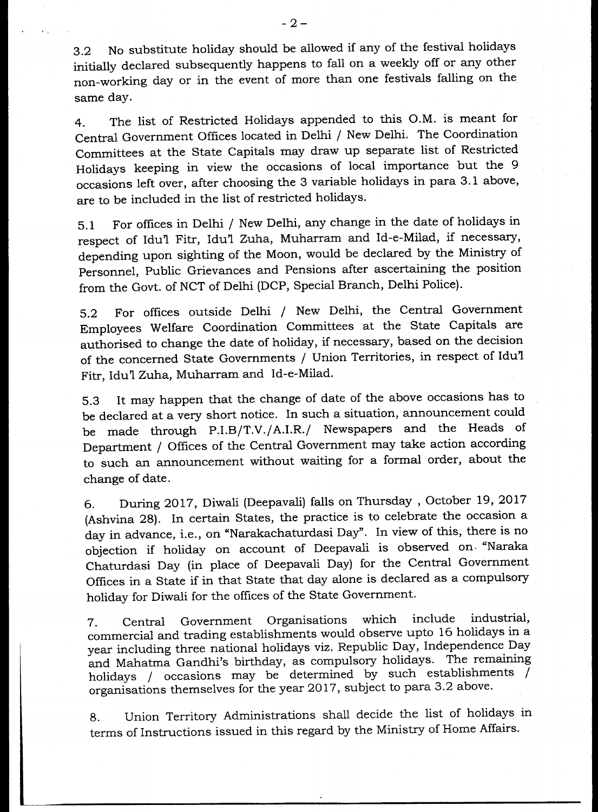3.2 No substitute holiday should be allowed if any of the festival holidays initially declared subsequently happens to fall on a weekly off or any other non-working day or in the event of more than one festivals falling on the same day.

4. The list of Restricted Holidays appended to this O.M. is meant for Central Government Offices located in Delhi / New Delhi. The Coordination Committees at the State Capitals may draw up separate list of Restricted Holidays keeping in view the occasions of local importance but the 9 occasions left over, after choosing the 3 variable holidays in para 3.1 above, are to be included in the list of restricted holidays.

5.1 For offices in Delhi / New Delhi, any change in the date of holidays in respect of Idu'l Fitr, Idu'l Zuha, Muharram and Id-e-Milad, if necessary, depending upon sighting of the Moon, would be declared by the Ministry of Personnel, Public Grievances and Pensions after ascertaining the position from the Govt. of NCT of Delhi (DCP, Special Branch, Delhi Police).

5.2 For offices outside Delhi / New Delhi, the Central Government Employees Welfare Coordination Committees at the State Capitals are authorised to change the date of holiday, if necessary, based on the decision of the concerned State Governments / Union Territories, in respect of Idu'l Fitr, Idu'l Zuha, Muharram and Id-e-Milad.

5.3 It may happen that the change of date of the above occasions has to be declared at a very short notice. In such a situation, announcement could be made through P.I.B/T.V./A.I.R./ Newspapers and the Heads of Department / Offices of the Central Government may take action according to such an announcement without waiting for a formal order, about the change of date.

6. During 2017, Diwali (Deepavali) falls on Thursday , October 19, 2017 (Ashvina 28). In certain States, the practice is to celebrate the occasion a day in advance, i.e., on "Narakachaturdasi Day". In view of this, there is no objection if holiday on account of Deepavali is observed on- "Naraka Chaturdasi Day (in place of Deepavali Day) for the Central Government Offices in a State if in that State that day alone is declared as a compulsory holiday for Diwali for the offices of the State Government.

7. Central Government Organisations which include industrial, commercial and trading establishments would observe upto 16 holidays in a year including three national holidays viz. Republic Day, Independence Day and Mahatma Gandhi's birthday, as compulsory holidays. The remaining holidays / occasions may be determined by such establishments / organisations themselves for the year 2017, subject to para 3.2 above.

8. Union Territory Administrations shall decide the list of holidays in terms of Instructions issued in this regard by the Ministry of Home Affairs.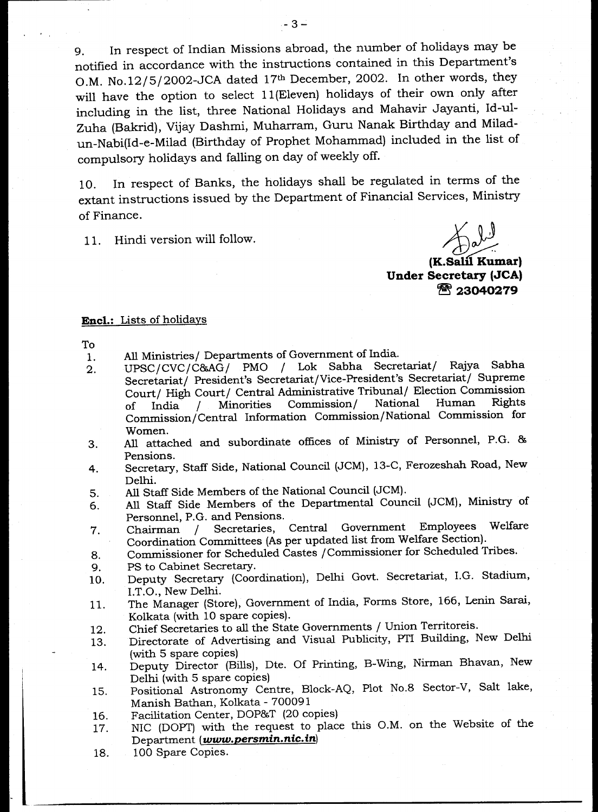9. In respect of Indian Missions abroad, the number of holidays may be notified in accordance with the instructions contained in this Department's O.M. No.12/5/2002-JCA dated 17<sup>th</sup> December, 2002. In other words, they will have the option to select 11(Eleven) holidays of their own only after including in the list, three National Holidays and Mahavir Jayanti, Id-ul-Zuha (Bakrid), Vijay Dashmi, Muharram, Guru Nanak Birthday and Miladun-Nabi(Id-e-Milad (Birthday of Prophet Mohammad) included in the list of compulsory holidays and falling on day of weekly off.

10. In respect of Banks, the holidays shall be regulated in terms of the extant instructions issued by the Department of Financial Services, Ministry of Finance.

11. Hindi version will follow.

**1:J/3** 

**(K.Sahl Kumar) Under Secretary (JCA)**  *Tt* **<sup>23040279</sup>**

#### **Encl.:** Lists of holidays

To

- 1. All Ministries/ Departments of Government of India.
- 2. UPSC/CVC/C86AG/ PMO / Lok Sabha Secretariat/ Rajya Sabha Secretariat/ President's Secretariat/Vice-President's Secretariat/ Supreme Court/ High Court/ Central Administrative Tribunal/ Election Commission of India / Minorities Commission/ National Human Rights Commission./ Central Information Commission/National Commission for Women.
- 3. All attached and subordinate offices of Ministry of Personnel, P.G. 86 Pensions.
- 4. Secretary, Staff Side, National Council (JCM), 13-C, Ferozeshah Road, New Delhi.
- 5. All Staff Side Members of the National Council (JCM).
- 6. All Staff Side Members of the Departmental Council (JCM), Ministry of
- Personnel, P.G. and Pensions.<br>Chairman / Secretaries. 7. Chairman / Secretaries, Central Government Employees Welfare Coordination Committees (As per updated list from Welfare Section).
- 8. Commisioner for Scheduled Castes /Commissioner for Scheduled Tribes.
- 9. PS to Cabinet Secretary.
- 10. Deputy Secretary (Coordination), Delhi Govt. Secretariat, I.G. Stadium, I.T.O., New Delhi.
- 11. The Manager (Store), Government of India, Forms Store, 166, Lenin Sarai, Kolkata (with 10 spare copies).
- 12. Chief Secretaries to all the State Governments / Union Territoreis.
- 13. Directorate of Advertising and Visual Publicity, PTI Building, New Delhi (with 5 spare copies)
- 14. Deputy Director (Bills), Dte. Of Printing, B-Wing, Nirman Bhavan, New Delhi (with 5 spare copies)
- 15. Positional Astronomy Centre, Block-AQ, Plot No.8 Sector-V, Salt lake, Manish Bathan, Kolkata - 700091
- 16. Facilitation Center, DOP86T (20 copies)
- 17. NIC (DOPT) with the request to place this O.M. on the Website of the Department *(www.persmin.nic. in)*
- 18. 100 Spare Copies.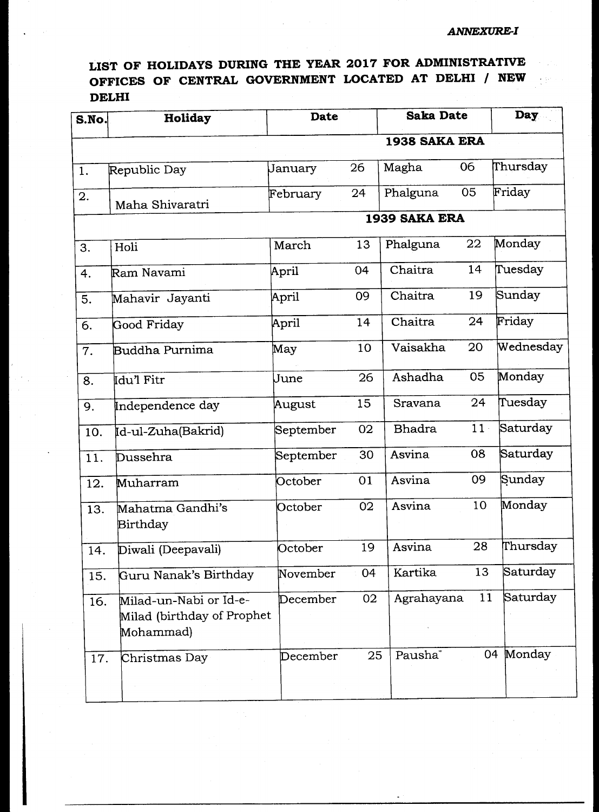# **LIST OF HOLIDAYS DURING THE YEAR 2017 FOR ADMINISTRATIVE OFFICES OF CENTRAL GOVERNMENT LOCATED AT DELHI / NEW DELHI**

| S.No. | Holiday                                                           | <b>Date</b>   |    | <b>Saka Date</b>    |        | Day       |  |
|-------|-------------------------------------------------------------------|---------------|----|---------------------|--------|-----------|--|
|       |                                                                   | 1938 SAKA ERA |    |                     |        |           |  |
| 1.    | Republic Day                                                      | January       | 26 | Magha               | 06     | Thursday  |  |
| 2.    | Maha Shivaratri                                                   | February      | 24 | Phalguna            | 05     | Friday    |  |
|       |                                                                   |               |    | 1939 SAKA ERA       |        |           |  |
| 3.    | Holi                                                              | March         | 13 | Phalguna            | 22     | Monday    |  |
| 4.    | Ram Navami                                                        | April         | 04 | Chaitra             | 14     | Tuesday   |  |
| 5.    | Mahavir Jayanti                                                   | April         | 09 | Chaitra             | 19     | Sunday    |  |
| 6.    | Good Friday                                                       | April         | 14 | Chaitra             | 24     | Friday    |  |
| 7.    | Buddha Purnima                                                    | May           | 10 | Vaisakha            | 20     | Wednesday |  |
| 8.    | Idu'l Fitr                                                        | June          | 26 | Ashadha             | 05     | Monday    |  |
| 9.    | Independence day                                                  | August        | 15 | Sravana             | 24     | Tuesday   |  |
| 10.   | Id-ul-Zuha(Bakrid)                                                | September     | 02 | <b>Bhadra</b>       | $11 -$ | Saturday  |  |
| 11.   | Dussehra                                                          | September     | 30 | Asvina              | 08     | Saturday  |  |
| 12.   | Muharram                                                          | October       | 01 | Asvina              | 09     | Sunday    |  |
| 13.   | Mahatma Gandhi's<br>Birthday                                      | October       | 02 | Asvina              | 10     | Monday    |  |
| 14.   | Diwali (Deepavali)                                                | October       | 19 | Asvina              | 28     | Thursday  |  |
| 15.   | Guru Nanak's Birthday                                             | November      | 04 | Kartika             | 13     | Saturday  |  |
| 16.   | Milad-un-Nabi or Id-e-<br>Milad (birthday of Prophet<br>Mohammad) | December      | 02 | Agrahayana          | 11     | Saturday  |  |
| 17.   | Christmas Day                                                     | December.     | 25 | Pausha <sup>®</sup> |        | 04 Monday |  |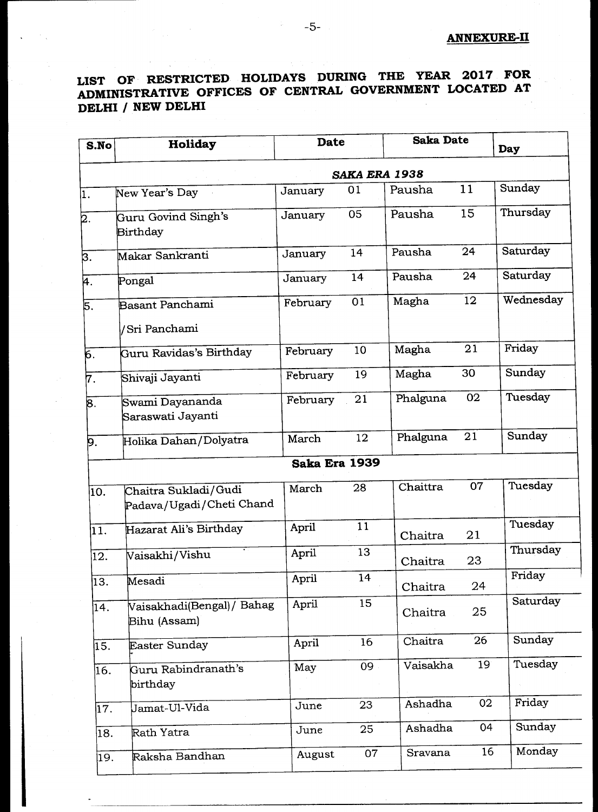## **ANNEXURE-II**

# **LIST OF RESTRICTED HOLIDAYS DURING THE YEAR 2017 FOR ADMINISTRATIVE OFFICES OF CENTRAL GOVERNMENT LOCATED AT DELHI / NEW DELHI**

| S.No             | <b>Date</b><br><b>Holiday</b>                    |               |    | <b>Saka Date</b> |    | Day       |  |  |
|------------------|--------------------------------------------------|---------------|----|------------------|----|-----------|--|--|
|                  | SAKA ERA 1938                                    |               |    |                  |    |           |  |  |
| $\overline{1}$ . | New Year's Day                                   | January       | 01 | Pausha           | 11 | Sunday    |  |  |
| 2.               | Guru Govind Singh's<br><b>Birthday</b>           | January       | 05 | Pausha           | 15 | Thursday  |  |  |
| 3.               | Makar Sankranti                                  | January       | 14 | Pausha           | 24 | Saturday  |  |  |
| 4.               | Pongal                                           | January       | 14 | Pausha           | 24 | Saturday  |  |  |
| 5.               | <b>Basant Panchami</b>                           | February      | 01 | Magha            | 12 | Wednesday |  |  |
|                  | /Sri Panchami                                    |               |    |                  |    |           |  |  |
| б.               | Guru Ravidas's Birthday                          | February      | 10 | Magha            | 21 | Friday    |  |  |
| 7.               | Shivaji Jayanti                                  | February      | 19 | Magha            | 30 | Sunday    |  |  |
| 8.               | Swami Dayananda<br>Saraswati Jayanti             | February      | 21 | Phalguna         | 02 | Tuesday   |  |  |
| 9.               | Holika Dahan/Dolyatra                            | March         | 12 | Phalguna         | 21 | Sunday    |  |  |
|                  |                                                  | Saka Era 1939 |    |                  |    |           |  |  |
| 10.              | Chaitra Sukladi/Gudi<br>Padava/Ugadi/Cheti Chand | March         | 28 | Chaittra         | 07 | Tuesday   |  |  |
| 11.              | Hazarat Ali's Birthday                           | April         | 11 | Chaitra          | 21 | Tuesday   |  |  |
| 12.              | Vaisakhi/Vishu                                   | April         | 13 | Chaitra          | 23 | Thursday  |  |  |
| 13.              | Mesadi                                           | April         | 14 | Chaitra          | 24 | Friday    |  |  |
| 14.              | Vaisakhadi(Bengal) / Bahag<br>Bihu (Assam)       | April         | 15 | Chaitra          | 25 | Saturday  |  |  |
| 15.              | Easter Sunday                                    | April         | 16 | Chaitra          | 26 | Sunday    |  |  |
| 16.              | Guru Rabindranath's<br>birthday                  | May           | 09 | Vaisakha         | 19 | Tuesday   |  |  |
| 17.              | Jamat-Ul-Vida                                    | June          | 23 | Ashadha          | 02 | Friday    |  |  |
| 18.              | Rath Yatra                                       | June          | 25 | Ashadha          | 04 | Sunday    |  |  |
| 19.              | Raksha Bandhan                                   | August        | 07 | Sravana          | 16 | Monday    |  |  |